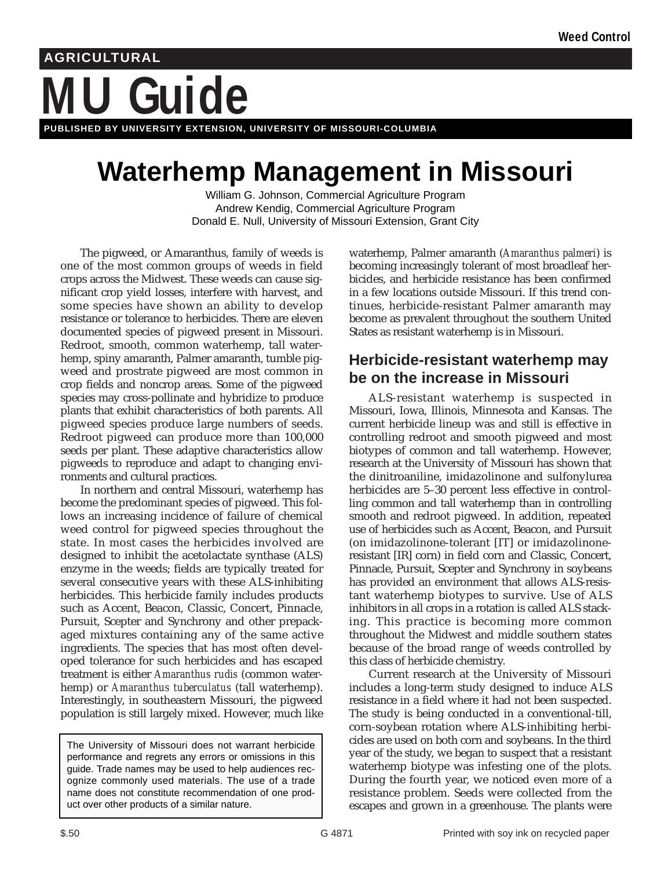# **MU Guide AGRICULTURAL**

**PUBLISHED BY UNIVERSITY EXTENSION, UNIVERSITY OF MISSOURI-COLUMBIA**

# **Waterhemp Management in Missouri**

William G. Johnson, Commercial Agriculture Program Andrew Kendig, Commercial Agriculture Program Donald E. Null, University of Missouri Extension, Grant City

The pigweed, or Amaranthus, family of weeds is one of the most common groups of weeds in field crops across the Midwest. These weeds can cause significant crop yield losses, interfere with harvest, and some species have shown an ability to develop resistance or tolerance to herbicides. There are eleven documented species of pigweed present in Missouri. Redroot, smooth, common waterhemp, tall waterhemp, spiny amaranth, Palmer amaranth, tumble pigweed and prostrate pigweed are most common in crop fields and noncrop areas. Some of the pigweed species may cross-pollinate and hybridize to produce plants that exhibit characteristics of both parents. All pigweed species produce large numbers of seeds. Redroot pigweed can produce more than 100,000 seeds per plant. These adaptive characteristics allow pigweeds to reproduce and adapt to changing environments and cultural practices.

In northern and central Missouri, waterhemp has become the predominant species of pigweed. This follows an increasing incidence of failure of chemical weed control for pigweed species throughout the state. In most cases the herbicides involved are designed to inhibit the acetolactate synthase (ALS) enzyme in the weeds; fields are typically treated for several consecutive years with these ALS-inhibiting herbicides. This herbicide family includes products such as Accent, Beacon, Classic, Concert, Pinnacle, Pursuit, Scepter and Synchrony and other prepackaged mixtures containing any of the same active ingredients. The species that has most often developed tolerance for such herbicides and has escaped treatment is either *Amaranthus rudis* (common waterhemp) or *Amaranthus tuberculatus* (tall waterhemp). Interestingly, in southeastern Missouri, the pigweed population is still largely mixed. However, much like

The University of Missouri does not warrant herbicide performance and regrets any errors or omissions in this guide. Trade names may be used to help audiences recognize commonly used materials. The use of a trade name does not constitute recommendation of one product over other products of a similar nature.

waterhemp, Palmer amaranth (*Amaranthus palmeri*) is becoming increasingly tolerant of most broadleaf herbicides, and herbicide resistance has been confirmed in a few locations outside Missouri. If this trend continues, herbicide-resistant Palmer amaranth may become as prevalent throughout the southern United States as resistant waterhemp is in Missouri.

## **Herbicide-resistant waterhemp may be on the increase in Missouri**

ALS-resistant waterhemp is suspected in Missouri, Iowa, Illinois, Minnesota and Kansas. The current herbicide lineup was and still is effective in controlling redroot and smooth pigweed and most biotypes of common and tall waterhemp. However, research at the University of Missouri has shown that the dinitroaniline, imidazolinone and sulfonylurea herbicides are 5–30 percent less effective in controlling common and tall waterhemp than in controlling smooth and redroot pigweed. In addition, repeated use of herbicides such as Accent, Beacon, and Pursuit (on imidazolinone-tolerant [IT] or imidazolinoneresistant [IR] corn) in field corn and Classic, Concert, Pinnacle, Pursuit, Scepter and Synchrony in soybeans has provided an environment that allows ALS-resistant waterhemp biotypes to survive. Use of ALS inhibitors in all crops in a rotation is called ALS stacking. This practice is becoming more common throughout the Midwest and middle southern states because of the broad range of weeds controlled by this class of herbicide chemistry.

Current research at the University of Missouri includes a long-term study designed to induce ALS resistance in a field where it had not been suspected. The study is being conducted in a conventional-till, corn-soybean rotation where ALS-inhibiting herbicides are used on both corn and soybeans. In the third year of the study, we began to suspect that a resistant waterhemp biotype was infesting one of the plots. During the fourth year, we noticed even more of a resistance problem. Seeds were collected from the escapes and grown in a greenhouse. The plants were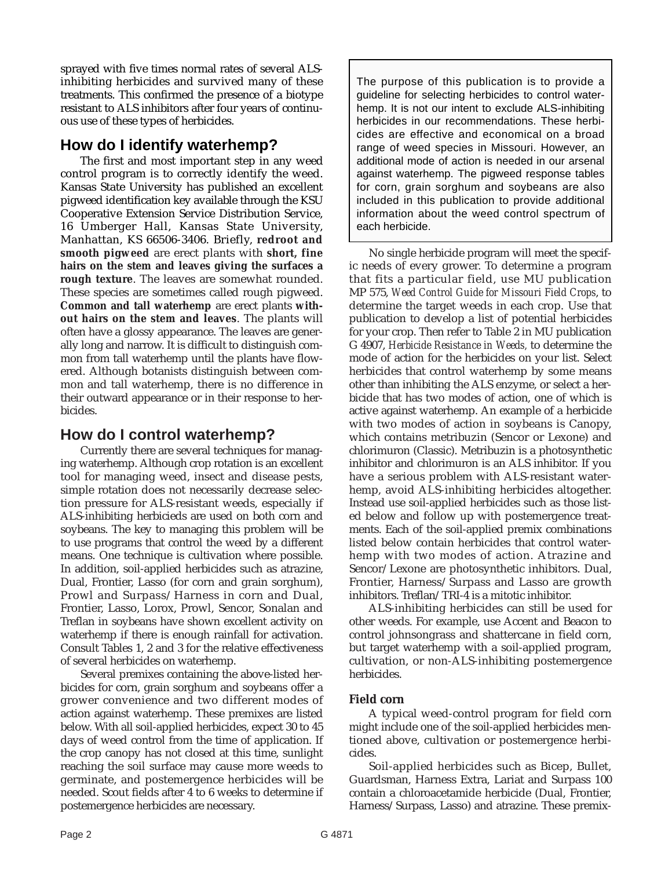sprayed with five times normal rates of several ALSinhibiting herbicides and survived many of these treatments. This confirmed the presence of a biotype resistant to ALS inhibitors after four years of continuous use of these types of herbicides.

# **How do I identify waterhemp?**

The first and most important step in any weed control program is to correctly identify the weed. Kansas State University has published an excellent pigweed identification key available through the KSU Cooperative Extension Service Distribution Service, 16 Umberger Hall, Kansas State University, Manhattan, KS 66506-3406. Briefly, **redroot and smooth pigweed** are erect plants with **short, fine hairs on the stem and leaves giving the surfaces a rough texture**. The leaves are somewhat rounded. These species are sometimes called rough pigweed. **Common and tall waterhemp** are erect plants **without hairs on the stem and leaves**. The plants will often have a glossy appearance. The leaves are generally long and narrow. It is difficult to distinguish common from tall waterhemp until the plants have flowered. Although botanists distinguish between common and tall waterhemp, there is no difference in their outward appearance or in their response to herbicides.

# **How do I control waterhemp?**

Currently there are several techniques for managing waterhemp. Although crop rotation is an excellent tool for managing weed, insect and disease pests, simple rotation does not necessarily decrease selection pressure for ALS-resistant weeds, especially if ALS-inhibiting herbicieds are used on both corn and soybeans. The key to managing this problem will be to use programs that control the weed by a different means. One technique is cultivation where possible. In addition, soil-applied herbicides such as atrazine, Dual, Frontier, Lasso (for corn and grain sorghum), Prowl and Surpass/Harness in corn and Dual, Frontier, Lasso, Lorox, Prowl, Sencor, Sonalan and Treflan in soybeans have shown excellent activity on waterhemp if there is enough rainfall for activation. Consult Tables 1, 2 and 3 for the relative effectiveness of several herbicides on waterhemp.

Several premixes containing the above-listed herbicides for corn, grain sorghum and soybeans offer a grower convenience and two different modes of action against waterhemp. These premixes are listed below. With all soil-applied herbicides, expect 30 to 45 days of weed control from the time of application. If the crop canopy has not closed at this time, sunlight reaching the soil surface may cause more weeds to germinate, and postemergence herbicides will be needed. Scout fields after 4 to 6 weeks to determine if postemergence herbicides are necessary.

The purpose of this publication is to provide a guideline for selecting herbicides to control waterhemp. It is not our intent to exclude ALS-inhibiting herbicides in our recommendations. These herbicides are effective and economical on a broad range of weed species in Missouri. However, an additional mode of action is needed in our arsenal against waterhemp. The pigweed response tables for corn, grain sorghum and soybeans are also included in this publication to provide additional information about the weed control spectrum of each herbicide.

No single herbicide program will meet the specific needs of every grower. To determine a program that fits a particular field, use MU publication MP 575, *Weed Control Guide for Missouri Field Crops*, to determine the target weeds in each crop. Use that publication to develop a list of potential herbicides for your crop. Then refer to Table 2 in MU publication G 4907, *Herbicide Resistance in Weeds,* to determine the mode of action for the herbicides on your list. Select herbicides that control waterhemp by some means other than inhibiting the ALS enzyme, or select a herbicide that has two modes of action, one of which is active against waterhemp. An example of a herbicide with two modes of action in soybeans is Canopy, which contains metribuzin (Sencor or Lexone) and chlorimuron (Classic). Metribuzin is a photosynthetic inhibitor and chlorimuron is an ALS inhibitor. If you have a serious problem with ALS-resistant waterhemp, avoid ALS-inhibiting herbicides altogether. Instead use soil-applied herbicides such as those listed below and follow up with postemergence treatments. Each of the soil-applied premix combinations listed below contain herbicides that control waterhemp with two modes of action. Atrazine and Sencor/Lexone are photosynthetic inhibitors. Dual, Frontier, Harness/Surpass and Lasso are growth inhibitors. Treflan/TRI-4 is a mitotic inhibitor.

ALS-inhibiting herbicides can still be used for other weeds. For example, use Accent and Beacon to control johnsongrass and shattercane in field corn, but target waterhemp with a soil-applied program, cultivation, or non-ALS-inhibiting postemergence herbicides.

#### **Field corn**

A typical weed-control program for field corn might include one of the soil-applied herbicides mentioned above, cultivation or postemergence herbicides.

Soil-applied herbicides such as Bicep, Bullet, Guardsman, Harness Extra, Lariat and Surpass 100 contain a chloroacetamide herbicide (Dual, Frontier, Harness/Surpass, Lasso) and atrazine. These premix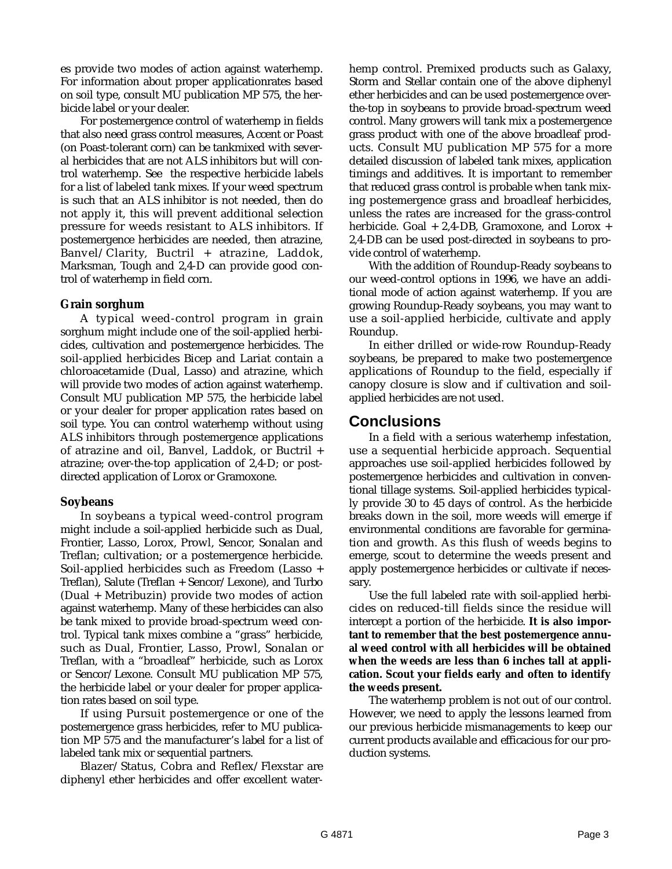es provide two modes of action against waterhemp. For information about proper applicationrates based on soil type, consult MU publication MP 575, the herbicide label or your dealer.

For postemergence control of waterhemp in fields that also need grass control measures, Accent or Poast (on Poast-tolerant corn) can be tankmixed with several herbicides that are not ALS inhibitors but will control waterhemp. See the respective herbicide labels for a list of labeled tank mixes. If your weed spectrum is such that an ALS inhibitor is not needed, then do not apply it, this will prevent additional selection pressure for weeds resistant to ALS inhibitors. If postemergence herbicides are needed, then atrazine, Banvel/Clarity, Buctril + atrazine, Laddok, Marksman, Tough and 2,4-D can provide good control of waterhemp in field corn.

#### **Grain sorghum**

A typical weed-control program in grain sorghum might include one of the soil-applied herbicides, cultivation and postemergence herbicides. The soil-applied herbicides Bicep and Lariat contain a chloroacetamide (Dual, Lasso) and atrazine, which will provide two modes of action against waterhemp. Consult MU publication MP 575, the herbicide label or your dealer for proper application rates based on soil type. You can control waterhemp without using ALS inhibitors through postemergence applications of atrazine and oil, Banvel, Laddok, or Buctril + atrazine; over-the-top application of 2,4-D; or postdirected application of Lorox or Gramoxone.

#### **Soybeans**

In soybeans a typical weed-control program might include a soil-applied herbicide such as Dual, Frontier, Lasso, Lorox, Prowl, Sencor, Sonalan and Treflan; cultivation; or a postemergence herbicide. Soil-applied herbicides such as Freedom (Lasso + Treflan), Salute (Treflan + Sencor/Lexone), and Turbo (Dual + Metribuzin) provide two modes of action against waterhemp. Many of these herbicides can also be tank mixed to provide broad-spectrum weed control. Typical tank mixes combine a "grass" herbicide, such as Dual, Frontier, Lasso, Prowl, Sonalan or Treflan, with a "broadleaf" herbicide, such as Lorox or Sencor/Lexone. Consult MU publication MP 575, the herbicide label or your dealer for proper application rates based on soil type.

If using Pursuit postemergence or one of the postemergence grass herbicides, refer to MU publication MP 575 and the manufacturer's label for a list of labeled tank mix or sequential partners.

Blazer/Status, Cobra and Reflex/Flexstar are diphenyl ether herbicides and offer excellent waterhemp control. Premixed products such as Galaxy, Storm and Stellar contain one of the above diphenyl ether herbicides and can be used postemergence overthe-top in soybeans to provide broad-spectrum weed control. Many growers will tank mix a postemergence grass product with one of the above broadleaf products. Consult MU publication MP 575 for a more detailed discussion of labeled tank mixes, application timings and additives. It is important to remember that reduced grass control is probable when tank mixing postemergence grass and broadleaf herbicides, unless the rates are increased for the grass-control herbicide. Goal + 2,4-DB, Gramoxone, and Lorox + 2,4-DB can be used post-directed in soybeans to provide control of waterhemp.

With the addition of Roundup-Ready soybeans to our weed-control options in 1996, we have an additional mode of action against waterhemp. If you are growing Roundup-Ready soybeans, you may want to use a soil-applied herbicide, cultivate and apply Roundup.

In either drilled or wide-row Roundup-Ready soybeans, be prepared to make two postemergence applications of Roundup to the field, especially if canopy closure is slow and if cultivation and soilapplied herbicides are not used.

### **Conclusions**

In a field with a serious waterhemp infestation, use a sequential herbicide approach. Sequential approaches use soil-applied herbicides followed by postemergence herbicides and cultivation in conventional tillage systems. Soil-applied herbicides typically provide 30 to 45 days of control. As the herbicide breaks down in the soil, more weeds will emerge if environmental conditions are favorable for germination and growth. As this flush of weeds begins to emerge, scout to determine the weeds present and apply postemergence herbicides or cultivate if necessary.

Use the full labeled rate with soil-applied herbicides on reduced-till fields since the residue will intercept a portion of the herbicide. **It is also important to remember that the best postemergence annual weed control with all herbicides will be obtained when the weeds are less than 6 inches tall at application. Scout your fields early and often to identify the weeds present.**

The waterhemp problem is not out of our control. However, we need to apply the lessons learned from our previous herbicide mismanagements to keep our current products available and efficacious for our production systems.